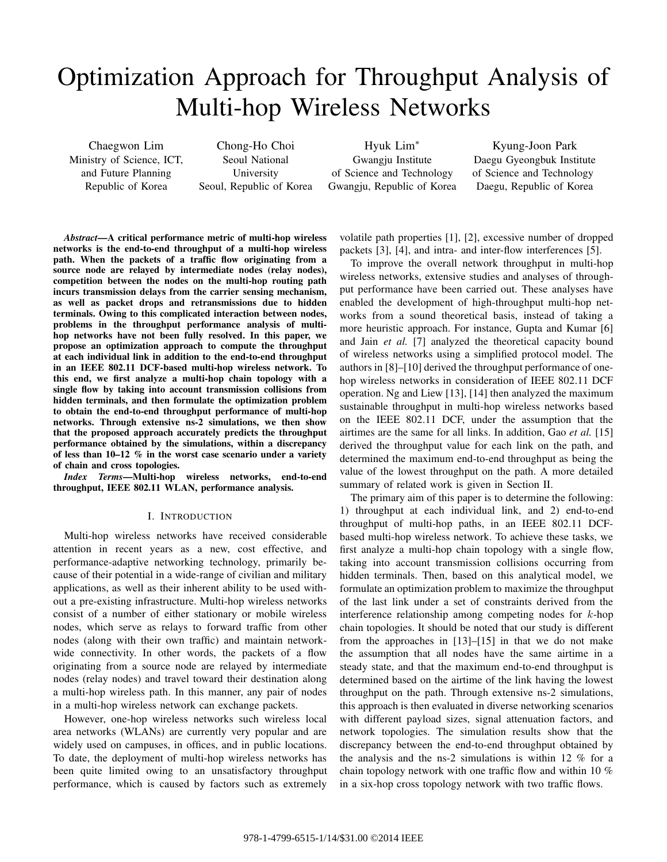# Optimization Approach for Throughput Analysis of Multi-hop Wireless Networks

Chaegwon Lim Ministry of Science, ICT, and Future Planning Republic of Korea

Chong-Ho Choi Seoul National University Seoul, Republic of Korea

Hyuk Lim<sup>∗</sup> Gwangju Institute of Science and Technology Gwangju, Republic of Korea

Kyung-Joon Park Daegu Gyeongbuk Institute of Science and Technology Daegu, Republic of Korea

*Abstract***—A critical performance metric of multi-hop wireless networks is the end-to-end throughput of a multi-hop wireless path. When the packets of a traffic flow originating from a source node are relayed by intermediate nodes (relay nodes), competition between the nodes on the multi-hop routing path incurs transmission delays from the carrier sensing mechanism, as well as packet drops and retransmissions due to hidden terminals. Owing to this complicated interaction between nodes, problems in the throughput performance analysis of multihop networks have not been fully resolved. In this paper, we propose an optimization approach to compute the throughput at each individual link in addition to the end-to-end throughput in an IEEE 802.11 DCF-based multi-hop wireless network. To this end, we first analyze a multi-hop chain topology with a single flow by taking into account transmission collisions from hidden terminals, and then formulate the optimization problem to obtain the end-to-end throughput performance of multi-hop networks. Through extensive ns-2 simulations, we then show that the proposed approach accurately predicts the throughput performance obtained by the simulations, within a discrepancy of less than 10–12 % in the worst case scenario under a variety of chain and cross topologies.**

*Index Terms***—Multi-hop wireless networks, end-to-end throughput, IEEE 802.11 WLAN, performance analysis.**

## I. INTRODUCTION

Multi-hop wireless networks have received considerable attention in recent years as a new, cost effective, and performance-adaptive networking technology, primarily because of their potential in a wide-range of civilian and military applications, as well as their inherent ability to be used without a pre-existing infrastructure. Multi-hop wireless networks consist of a number of either stationary or mobile wireless nodes, which serve as relays to forward traffic from other nodes (along with their own traffic) and maintain networkwide connectivity. In other words, the packets of a flow originating from a source node are relayed by intermediate nodes (relay nodes) and travel toward their destination along a multi-hop wireless path. In this manner, any pair of nodes in a multi-hop wireless network can exchange packets.

However, one-hop wireless networks such wireless local area networks (WLANs) are currently very popular and are widely used on campuses, in offices, and in public locations. To date, the deployment of multi-hop wireless networks has been quite limited owing to an unsatisfactory throughput performance, which is caused by factors such as extremely

volatile path properties [1], [2], excessive number of dropped packets [3], [4], and intra- and inter-flow interferences [5].

To improve the overall network throughput in multi-hop wireless networks, extensive studies and analyses of throughput performance have been carried out. These analyses have enabled the development of high-throughput multi-hop networks from a sound theoretical basis, instead of taking a more heuristic approach. For instance, Gupta and Kumar [6] and Jain *et al.* [7] analyzed the theoretical capacity bound of wireless networks using a simplified protocol model. The authors in [8]–[10] derived the throughput performance of onehop wireless networks in consideration of IEEE 802.11 DCF operation. Ng and Liew [13], [14] then analyzed the maximum sustainable throughput in multi-hop wireless networks based on the IEEE 802.11 DCF, under the assumption that the airtimes are the same for all links. In addition, Gao *et al.* [15] derived the throughput value for each link on the path, and determined the maximum end-to-end throughput as being the value of the lowest throughput on the path. A more detailed summary of related work is given in Section II.

The primary aim of this paper is to determine the following: 1) throughput at each individual link, and 2) end-to-end throughput of multi-hop paths, in an IEEE 802.11 DCFbased multi-hop wireless network. To achieve these tasks, we first analyze a multi-hop chain topology with a single flow, taking into account transmission collisions occurring from hidden terminals. Then, based on this analytical model, we formulate an optimization problem to maximize the throughput of the last link under a set of constraints derived from the interference relationship among competing nodes for  $k$ -hop chain topologies. It should be noted that our study is different from the approaches in [13]–[15] in that we do not make the assumption that all nodes have the same airtime in a steady state, and that the maximum end-to-end throughput is determined based on the airtime of the link having the lowest throughput on the path. Through extensive ns-2 simulations, this approach is then evaluated in diverse networking scenarios with different payload sizes, signal attenuation factors, and network topologies. The simulation results show that the discrepancy between the end-to-end throughput obtained by the analysis and the ns-2 simulations is within 12 % for a chain topology network with one traffic flow and within 10 % in a six-hop cross topology network with two traffic flows.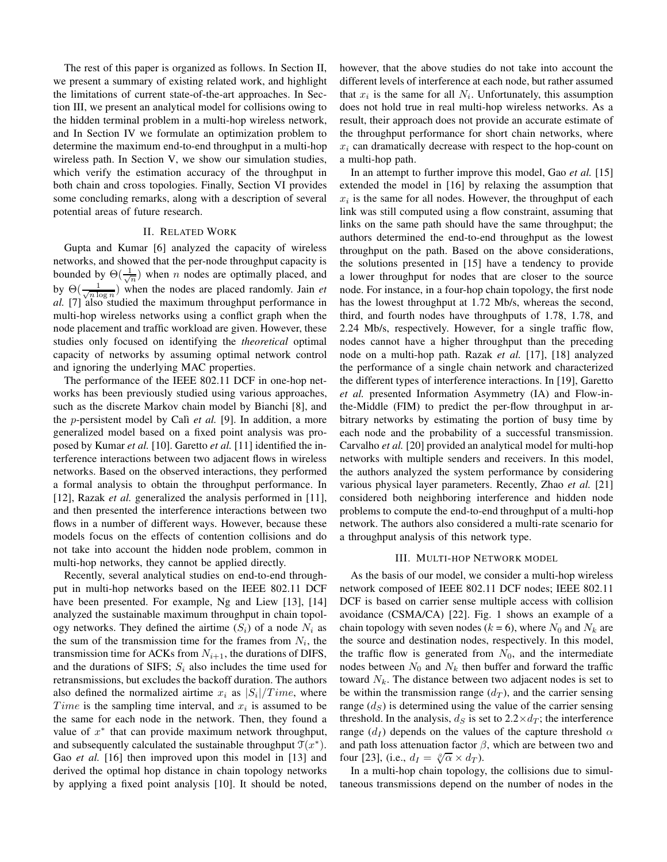The rest of this paper is organized as follows. In Section II, we present a summary of existing related work, and highlight the limitations of current state-of-the-art approaches. In Section III, we present an analytical model for collisions owing to the hidden terminal problem in a multi-hop wireless network, and In Section IV we formulate an optimization problem to determine the maximum end-to-end throughput in a multi-hop wireless path. In Section V, we show our simulation studies, which verify the estimation accuracy of the throughput in both chain and cross topologies. Finally, Section VI provides some concluding remarks, along with a description of several potential areas of future research.

### II. RELATED WORK

Gupta and Kumar [6] analyzed the capacity of wireless networks, and showed that the per-node throughput capacity is bounded by  $\Theta(\frac{1}{\sqrt{n}})$  when *n* nodes are optimally placed, and by  $\Theta(\frac{1}{\sqrt{n \log n}})$  when the nodes are placed randomly. Jain *et al.* [7] also studied the maximum throughput performance in multi-hop wireless networks using a conflict graph when the node placement and traffic workload are given. However, these studies only focused on identifying the *theoretical* optimal capacity of networks by assuming optimal network control and ignoring the underlying MAC properties.

The performance of the IEEE 802.11 DCF in one-hop networks has been previously studied using various approaches, such as the discrete Markov chain model by Bianchi [8], and the *p*-persistent model by Calì *et al.* [9]. In addition, a more generalized model based on a fixed point analysis was proposed by Kumar *et al.* [10]. Garetto *et al.* [11] identified the interference interactions between two adjacent flows in wireless networks. Based on the observed interactions, they performed a formal analysis to obtain the throughput performance. In [12], Razak *et al.* generalized the analysis performed in [11], and then presented the interference interactions between two flows in a number of different ways. However, because these models focus on the effects of contention collisions and do not take into account the hidden node problem, common in multi-hop networks, they cannot be applied directly.

Recently, several analytical studies on end-to-end throughput in multi-hop networks based on the IEEE 802.11 DCF have been presented. For example, Ng and Liew [13], [14] analyzed the sustainable maximum throughput in chain topology networks. They defined the airtime  $(S_i)$  of a node  $N_i$  as the sum of the transmission time for the frames from  $N_i$ , the transmission time for ACKs from  $N_{i+1}$ , the durations of DIFS, and the durations of SIFS;  $S_i$  also includes the time used for retransmissions, but excludes the backoff duration. The authors also defined the normalized airtime  $x_i$  as  $|S_i|/Time$ , where *Time* is the sampling time interval, and  $x_i$  is assumed to be the same for each node in the network. Then, they found a value of  $x^*$  that can provide maximum network throughput, and subsequently calculated the sustainable throughput  $\mathcal{T}(x^*)$ . Gao *et al.* [16] then improved upon this model in [13] and derived the optimal hop distance in chain topology networks by applying a fixed point analysis [10]. It should be noted, however, that the above studies do not take into account the different levels of interference at each node, but rather assumed that  $x_i$  is the same for all  $N_i$ . Unfortunately, this assumption does not hold true in real multi-hop wireless networks. As a result, their approach does not provide an accurate estimate of the throughput performance for short chain networks, where  $x_i$  can dramatically decrease with respect to the hop-count on a multi-hop path.

In an attempt to further improve this model, Gao *et al.* [15] extended the model in [16] by relaxing the assumption that  $x_i$  is the same for all nodes. However, the throughput of each link was still computed using a flow constraint, assuming that links on the same path should have the same throughput; the authors determined the end-to-end throughput as the lowest throughput on the path. Based on the above considerations, the solutions presented in [15] have a tendency to provide a lower throughput for nodes that are closer to the source node. For instance, in a four-hop chain topology, the first node has the lowest throughput at 1.72 Mb/s, whereas the second, third, and fourth nodes have throughputs of 1.78, 1.78, and 2.24 Mb/s, respectively. However, for a single traffic flow, nodes cannot have a higher throughput than the preceding node on a multi-hop path. Razak *et al.* [17], [18] analyzed the performance of a single chain network and characterized the different types of interference interactions. In [19], Garetto *et al.* presented Information Asymmetry (IA) and Flow-inthe-Middle (FIM) to predict the per-flow throughput in arbitrary networks by estimating the portion of busy time by each node and the probability of a successful transmission. Carvalho *et al.* [20] provided an analytical model for multi-hop networks with multiple senders and receivers. In this model, the authors analyzed the system performance by considering various physical layer parameters. Recently, Zhao *et al.* [21] considered both neighboring interference and hidden node problems to compute the end-to-end throughput of a multi-hop network. The authors also considered a multi-rate scenario for a throughput analysis of this network type.

#### III. MULTI-HOP NETWORK MODEL

As the basis of our model, we consider a multi-hop wireless network composed of IEEE 802.11 DCF nodes; IEEE 802.11 DCF is based on carrier sense multiple access with collision avoidance (CSMA/CA) [22]. Fig. 1 shows an example of a chain topology with seven nodes ( $k = 6$ ), where  $N_0$  and  $N_k$  are the source and destination nodes, respectively. In this model, the traffic flow is generated from  $N_0$ , and the intermediate nodes between  $N_0$  and  $N_k$  then buffer and forward the traffic toward  $N_k$ . The distance between two adjacent nodes is set to be within the transmission range  $(d_T)$ , and the carrier sensing range  $(d<sub>S</sub>)$  is determined using the value of the carrier sensing threshold. In the analysis,  $d_S$  is set to  $2.2 \times d_T$ ; the interference range  $(d<sub>I</sub>)$  depends on the values of the capture threshold  $\alpha$ and path loss attenuation factor  $\beta$ , which are between two and four [23], (i.e.,  $d_I = \sqrt[\beta]{\alpha} \times d_T$ ).

In a multi-hop chain topology, the collisions due to simultaneous transmissions depend on the number of nodes in the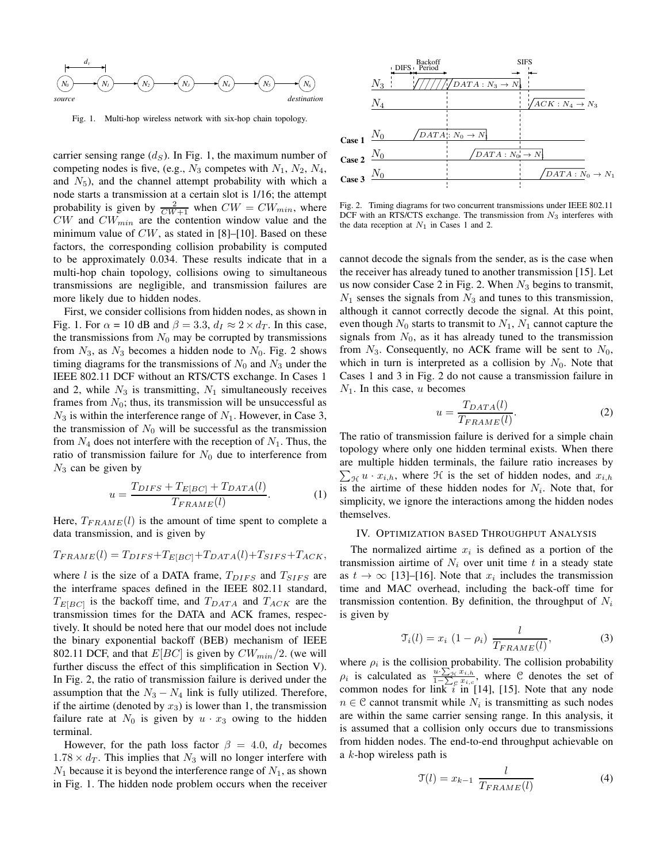

Fig. 1. Multi-hop wireless network with six-hop chain topology.

carrier sensing range  $(d<sub>S</sub>)$ . In Fig. 1, the maximum number of competing nodes is five, (e.g.,  $N_3$  competes with  $N_1$ ,  $N_2$ ,  $N_4$ , and  $N_5$ ), and the channel attempt probability with which a node starts a transmission at a certain slot is 1/16; the attempt probability is given by  $\frac{2}{CW+1}$  when  $CW = CW_{min}$ , where  $CW$  and  $CW_{min}$  are the contention window value and the minimum value of  $CW$ , as stated in [8]–[10]. Based on these factors, the corresponding collision probability is computed to be approximately 0.034. These results indicate that in a multi-hop chain topology, collisions owing to simultaneous transmissions are negligible, and transmission failures are more likely due to hidden nodes.

First, we consider collisions from hidden nodes, as shown in Fig. 1. For  $\alpha = 10$  dB and  $\beta = 3.3$ ,  $d_I \approx 2 \times d_T$ . In this case, the transmissions from  $N_0$  may be corrupted by transmissions from  $N_3$ , as  $N_3$  becomes a hidden node to  $N_0$ . Fig. 2 shows timing diagrams for the transmissions of  $N_0$  and  $N_3$  under the IEEE 802.11 DCF without an RTS/CTS exchange. In Cases 1 and 2, while  $N_3$  is transmitting,  $N_1$  simultaneously receives frames from  $N_0$ ; thus, its transmission will be unsuccessful as  $N_3$  is within the interference range of  $N_1$ . However, in Case 3, the transmission of  $N_0$  will be successful as the transmission from  $N_4$  does not interfere with the reception of  $N_1$ . Thus, the ratio of transmission failure for  $N_0$  due to interference from  $N_3$  can be given by

$$
u = \frac{T_{DIFS} + T_{E[BC]} + T_{DATA}(l)}{T_{FRAME}(l)}.
$$
 (1)

Here,  $T_{FRAME}(l)$  is the amount of time spent to complete a data transmission, and is given by

$$
T_{FRAME}(l) = T_{DIFS} + T_{E[BC]} + T_{DATA}(l) + T_{SIFS} + T_{ACK},
$$

where  $l$  is the size of a DATA frame,  $T_{DIFS}$  and  $T_{SIFS}$  are the interframe spaces defined in the IEEE 802.11 standard,  $T_{E[BC]}$  is the backoff time, and  $T_{DATA}$  and  $T_{ACK}$  are the transmission times for the DATA and ACK frames, respectively. It should be noted here that our model does not include the binary exponential backoff (BEB) mechanism of IEEE 802.11 DCF, and that  $E[BC]$  is given by  $CW_{min}/2$ . (we will further discuss the effect of this simplification in Section V). In Fig. 2, the ratio of transmission failure is derived under the assumption that the  $N_3 - N_4$  link is fully utilized. Therefore, if the airtime (denoted by  $x_3$ ) is lower than 1, the transmission failure rate at  $N_0$  is given by  $u \cdot x_3$  owing to the hidden terminal.

However, for the path loss factor  $\beta = 4.0$ ,  $d_I$  becomes  $1.78 \times d_T$ . This implies that  $N_3$  will no longer interfere with  $N_1$  because it is beyond the interference range of  $N_1$ , as shown in Fig. 1. The hidden node problem occurs when the receiver



Fig. 2. Timing diagrams for two concurrent transmissions under IEEE 802.11 DCF with an RTS/CTS exchange. The transmission from  $N_3$  interferes with the data reception at  $N_1$  in Cases 1 and 2.

cannot decode the signals from the sender, as is the case when the receiver has already tuned to another transmission [15]. Let us now consider Case 2 in Fig. 2. When  $N_3$  begins to transmit,  $N_1$  senses the signals from  $N_3$  and tunes to this transmission, although it cannot correctly decode the signal. At this point, even though  $N_0$  starts to transmit to  $N_1, N_1$  cannot capture the signals from  $N_0$ , as it has already tuned to the transmission from  $N_3$ . Consequently, no ACK frame will be sent to  $N_0$ , which in turn is interpreted as a collision by  $N_0$ . Note that Cases 1 and 3 in Fig. 2 do not cause a transmission failure in  $N_1$ . In this case, u becomes

$$
u = \frac{T_{DATA}(l)}{T_{FRAME}(l)}.\tag{2}
$$

The ratio of transmission failure is derived for a simple chain topology where only one hidden terminal exists. When there are multiple hidden terminals, the failure ratio increases by  $\sum_{\mathcal{H}} u \cdot x_{i,h}$ , where  $\mathcal{H}$  is the set of hidden nodes, and  $x_{i,h}$ is the airtime of these hidden nodes for  $N_i$ . Note that, for simplicity, we ignore the interactions among the hidden nodes themselves.

#### IV. OPTIMIZATION BASED THROUGHPUT ANALYSIS

The normalized airtime  $x_i$  is defined as a portion of the transmission airtime of  $N_i$  over unit time t in a steady state as  $t \to \infty$  [13]–[16]. Note that  $x_i$  includes the transmission time and MAC overhead, including the back-off time for transmission contention. By definition, the throughput of  $N_i$ is given by

$$
\mathcal{T}_i(l) = x_i \ (1 - \rho_i) \ \frac{l}{T_{FRAME}(l)},\tag{3}
$$

where  $\rho_i$  is the collision probability. The collision probability  $\rho_i$  is calculated as  $\frac{u \cdot \sum_{j \in \mathcal{I}^i, h}}{1 - \sum_{j \in \mathcal{I}^i, h}}$  $\frac{u \cdot \sum_{\mathcal{H}} x_{i,h}}{1-\sum_{\mathcal{C}} y_{i,c}}$ , where C denotes the set of common nodes for link  $i$  in [14], [15]. Note that any node  $n \in \mathcal{C}$  cannot transmit while  $N_i$  is transmitting as such nodes are within the same carrier sensing range. In this analysis, it is assumed that a collision only occurs due to transmissions from hidden nodes. The end-to-end throughput achievable on a  $k$ -hop wireless path is

$$
\mathcal{T}(l) = x_{k-1} \frac{l}{T_{FRAME}(l)}\tag{4}
$$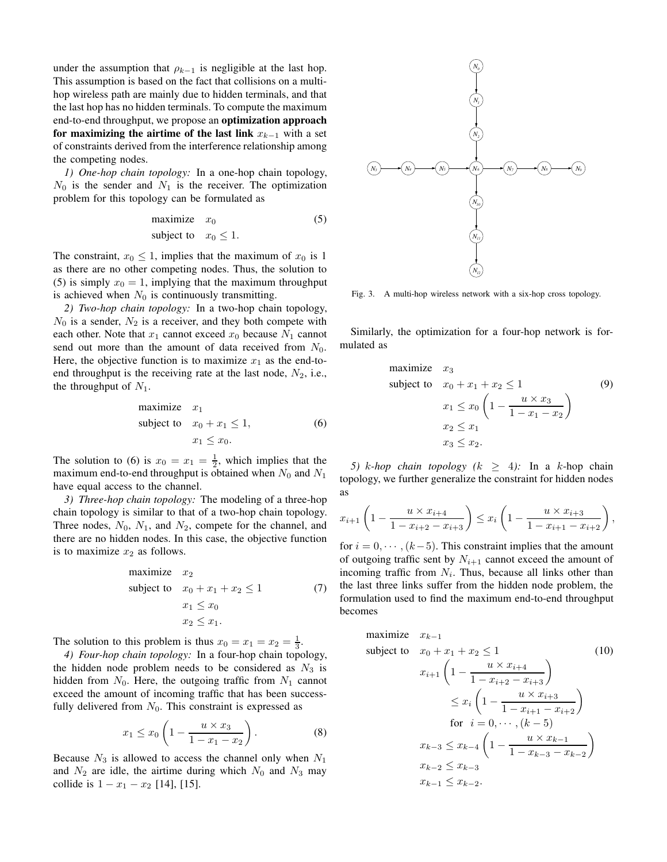under the assumption that  $\rho_{k-1}$  is negligible at the last hop. This assumption is based on the fact that collisions on a multihop wireless path are mainly due to hidden terminals, and that the last hop has no hidden terminals. To compute the maximum end-to-end throughput, we propose an **optimization approach for maximizing the airtime of the last link**  $x_{k-1}$  with a set of constraints derived from the interference relationship among the competing nodes.

*1) One-hop chain topology:* In a one-hop chain topology,  $N_0$  is the sender and  $N_1$  is the receiver. The optimization problem for this topology can be formulated as

$$
\begin{array}{ll}\text{maximize} & x_0\\ \text{subject to} & x_0 \le 1. \end{array} \tag{5}
$$

The constraint,  $x_0 \leq 1$ , implies that the maximum of  $x_0$  is 1 as there are no other competing nodes. Thus, the solution to (5) is simply  $x_0 = 1$ , implying that the maximum throughput is achieved when  $N_0$  is continuously transmitting.

*2) Two-hop chain topology:* In a two-hop chain topology,  $N_0$  is a sender,  $N_2$  is a receiver, and they both compete with each other. Note that  $x_1$  cannot exceed  $x_0$  because  $N_1$  cannot send out more than the amount of data received from  $N_0$ . Here, the objective function is to maximize  $x_1$  as the end-toend throughput is the receiving rate at the last node,  $N_2$ , i.e., the throughput of  $N_1$ .

maximize 
$$
x_1
$$
  
subject to  $x_0 + x_1 \le 1$ , (6)  
 $x_1 \le x_0$ .

The solution to (6) is  $x_0 = x_1 = \frac{1}{2}$ , which implies that the maximum end-to-end throughput is obtained when  $N_0$  and  $N_1$ have equal access to the channel.

*3) Three-hop chain topology:* The modeling of a three-hop chain topology is similar to that of a two-hop chain topology. Three nodes,  $N_0$ ,  $N_1$ , and  $N_2$ , compete for the channel, and there are no hidden nodes. In this case, the objective function is to maximize  $x_2$  as follows.

maximize 
$$
x_2
$$
  
\nsubject to  $x_0 + x_1 + x_2 \le 1$  (7)  
\n $x_1 \le x_0$   
\n $x_2 \le x_1$ .

The solution to this problem is thus  $x_0 = x_1 = x_2 = \frac{1}{3}$ .

*4) Four-hop chain topology:* In a four-hop chain topology, the hidden node problem needs to be considered as  $N_3$  is hidden from  $N_0$ . Here, the outgoing traffic from  $N_1$  cannot exceed the amount of incoming traffic that has been successfully delivered from  $N_0$ . This constraint is expressed as

$$
x_1 \le x_0 \left( 1 - \frac{u \times x_3}{1 - x_1 - x_2} \right). \tag{8}
$$

Because  $N_3$  is allowed to access the channel only when  $N_1$ and  $N_2$  are idle, the airtime during which  $N_0$  and  $N_3$  may collide is  $1 - x_1 - x_2$  [14], [15].



Fig. 3. A multi-hop wireless network with a six-hop cross topology.

Similarly, the optimization for a four-hop network is formulated as

maximize 
$$
x_3
$$
  
\nsubject to  $x_0 + x_1 + x_2 \le 1$   
\n $x_1 \le x_0 \left(1 - \frac{u \times x_3}{1 - x_1 - x_2}\right)$   
\n $x_2 \le x_1$   
\n $x_3 \le x_2$ .

*5)* k-hop chain topology ( $k \geq 4$ ): In a k-hop chain topology, we further generalize the constraint for hidden nodes as

$$
x_{i+1}\left(1-\frac{u \times x_{i+4}}{1-x_{i+2}-x_{i+3}}\right) \leq x_i\left(1-\frac{u \times x_{i+3}}{1-x_{i+1}-x_{i+2}}\right),
$$

for  $i = 0, \dots, (k-5)$ . This constraint implies that the amount of outgoing traffic sent by  $N_{i+1}$  cannot exceed the amount of incoming traffic from  $N_i$ . Thus, because all links other than the last three links suffer from the hidden node problem, the formulation used to find the maximum end-to-end throughput becomes

maximize 
$$
x_{k-1}
$$
  
\nsubject to  $x_0 + x_1 + x_2 \le 1$  (10)  
\n
$$
x_{i+1} \left( 1 - \frac{u \times x_{i+4}}{1 - x_{i+2} - x_{i+3}} \right)
$$
\n
$$
\le x_i \left( 1 - \frac{u \times x_{i+3}}{1 - x_{i+1} - x_{i+2}} \right)
$$
\nfor  $i = 0, \dots, (k-5)$   
\n
$$
x_{k-3} \le x_{k-4} \left( 1 - \frac{u \times x_{k-1}}{1 - x_{k-3} - x_{k-2}} \right)
$$
\n
$$
x_{k-2} \le x_{k-3}
$$
\n
$$
x_{k-1} \le x_{k-2}.
$$
\n(10)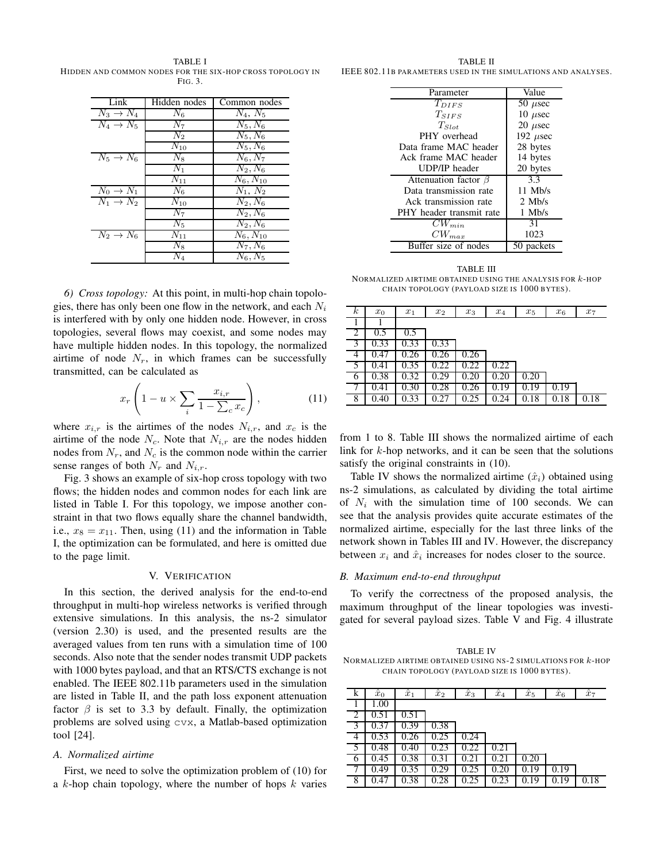TABLE I HIDDEN AND COMMON NODES FOR THE SIX-HOP CROSS TOPOLOGY IN FIG. 3.

| Link                  | Hidden nodes   | Common nodes          |
|-----------------------|----------------|-----------------------|
| $N_3 \rightarrow N_4$ | $N_6$          | $N_4, N_5$            |
| $N_4 \rightarrow N_5$ | $N_7$          | $N_5, N_6$            |
|                       | $N_2$          | $N_5, N_6$            |
|                       | $N_{10}$       | $N_5, N_6$            |
| $N_5 \rightarrow N_6$ | $N_8$          | $N_6, N_7$            |
|                       | $N_1$          | $N_2, N_6$            |
|                       | $N_{11}$       | $N_6, N_{10}$         |
| $N_0 \rightarrow N_1$ | N <sub>6</sub> | $N_1, N_2$            |
| $N_1 \rightarrow N_2$ | $N_{10}$       | $N_2, N_6$            |
|                       | $N_7$          | $N_2, N_6$            |
|                       | $N_5$          | $N_2, N_6$            |
| $N_2 \rightarrow N_6$ | $N_{11}$       | $N_6, N_{10}$         |
|                       | $N_8$          | $\overline{N_7}, N_6$ |
|                       | $\,_{4}$       | $N_6, N_5$            |

*6) Cross topology:* At this point, in multi-hop chain topologies, there has only been one flow in the network, and each  $N_i$ is interfered with by only one hidden node. However, in cross topologies, several flows may coexist, and some nodes may have multiple hidden nodes. In this topology, the normalized airtime of node  $N_r$ , in which frames can be successfully transmitted, can be calculated as

$$
x_r\left(1-u\times\sum_i\frac{x_{i,r}}{1-\sum_c x_c}\right),\tag{11}
$$

where  $x_{i,r}$  is the airtimes of the nodes  $N_{i,r}$ , and  $x_c$  is the airtime of the node  $N_c$ . Note that  $N_{i,r}$  are the nodes hidden nodes from  $N_r$ , and  $N_c$  is the common node within the carrier sense ranges of both  $N_r$  and  $N_{i,r}$ .

Fig. 3 shows an example of six-hop cross topology with two flows; the hidden nodes and common nodes for each link are listed in Table I. For this topology, we impose another constraint in that two flows equally share the channel bandwidth, i.e.,  $x_8 = x_{11}$ . Then, using (11) and the information in Table I, the optimization can be formulated, and here is omitted due to the page limit.

## V. VERIFICATION

In this section, the derived analysis for the end-to-end throughput in multi-hop wireless networks is verified through extensive simulations. In this analysis, the ns-2 simulator (version 2.30) is used, and the presented results are the averaged values from ten runs with a simulation time of 100 seconds. Also note that the sender nodes transmit UDP packets with 1000 bytes payload, and that an RTS/CTS exchange is not enabled. The IEEE 802.11b parameters used in the simulation are listed in Table II, and the path loss exponent attenuation factor  $\beta$  is set to 3.3 by default. Finally, the optimization problems are solved using cvx, a Matlab-based optimization tool [24].

#### *A. Normalized airtime*

First, we need to solve the optimization problem of (10) for a  $k$ -hop chain topology, where the number of hops  $k$  varies

TABLE II IEEE 802.11B PARAMETERS USED IN THE SIMULATIONS AND ANALYSES.

| Parameter                  | Value         |
|----------------------------|---------------|
| $T_{DIFS}$                 | 50 $\mu$ sec  |
| $T_{SIFS}$                 | 10 $\mu$ sec  |
| $T_{Slot}$                 | $20 \mu$ sec  |
| PHY overhead               | 192 $\mu$ sec |
| Data frame MAC header      | 28 bytes      |
| Ack frame MAC header       | 14 bytes      |
| UDP/IP header              | 20 bytes      |
| Attenuation factor $\beta$ | 3.3           |
| Data transmission rate     | $11$ Mb/s     |
| Ack transmission rate      | $2$ Mb/s      |
| PHY header transmit rate   | $1$ Mb/s      |
| $CW_{min}$                 | 31            |
| $CW_{max}$                 | 1023          |
| Buffer size of nodes       | packets       |

TABLE III NORMALIZED AIRTIME OBTAINED USING THE ANALYSIS FOR  $k$ -HOP CHAIN TOPOLOGY (PAYLOAD SIZE IS 1000 BYTES).

| $\kappa$ | $x_0$ | $x_1$ | $x_2$ | $x_3$ | $x_4$ | $x_5$ | $x_6$ | $x_7$ |
|----------|-------|-------|-------|-------|-------|-------|-------|-------|
|          |       |       |       |       |       |       |       |       |
| 2        | 0.5   | 0.5   |       |       |       |       |       |       |
| 3        | 0.33  | 0.33  | 0.33  |       |       |       |       |       |
| 4        | 0.47  |       | 0.26  | 0.26  |       |       |       |       |
| 5        | 0.41  | .35   | 0.22  | 0.22  | 0.22  |       |       |       |
| 6        | 0.38  | 0.32  | 0.29  | .20   | .20   | 0.20  |       |       |
|          |       |       | .28   | .26   |       | 0.19  | 0.19  |       |
| 8        | 0.40  | 0.33  | 0.27  | 0.25  | 0.24  | 0.18  | 0.18  | 0.18  |

from 1 to 8. Table III shows the normalized airtime of each link for  $k$ -hop networks, and it can be seen that the solutions satisfy the original constraints in (10).

Table IV shows the normalized airtime  $(\hat{x}_i)$  obtained using ns-2 simulations, as calculated by dividing the total airtime of  $N_i$  with the simulation time of 100 seconds. We can see that the analysis provides quite accurate estimates of the normalized airtime, especially for the last three links of the network shown in Tables III and IV. However, the discrepancy between  $x_i$  and  $\hat{x}_i$  increases for nodes closer to the source.

#### *B. Maximum end-to-end throughput*

To verify the correctness of the proposed analysis, the maximum throughput of the linear topologies was investigated for several payload sizes. Table V and Fig. 4 illustrate

TABLE IV NORMALIZED AIRTIME OBTAINED USING NS-2 SIMULATIONS FOR  $k$ -HOP CHAIN TOPOLOGY (PAYLOAD SIZE IS 1000 BYTES).

| k | $\hat{x}_0$ | $\hat{x}_1$ | $\hat{x}_2$ | $\hat{x}_3$ | $\hat{x}_4$ | $\hat{x}_5$ | $\hat{x}_6$ | $\overline{\hat{x}}_7$ |
|---|-------------|-------------|-------------|-------------|-------------|-------------|-------------|------------------------|
|   | 1.00        |             |             |             |             |             |             |                        |
|   |             |             |             |             |             |             |             |                        |
| 3 |             | .39         | 0.38        |             |             |             |             |                        |
| 4 | 0.53        |             | 0.25        | 0.24        |             |             |             |                        |
|   | 0.48        | .4U         |             |             |             |             |             |                        |
| 6 | 0.45        | 0.38        | 0.31        | 2           | 2.          | J.20        |             |                        |
|   | 0.49        | 0.35        | 0.29        | 0.25        | 20          | 0.19        | 0.19        |                        |
| 8 | 0.47        | 0.38        | 0.28        | 0.25        | 0.23        | 19          | .19         | 0.18                   |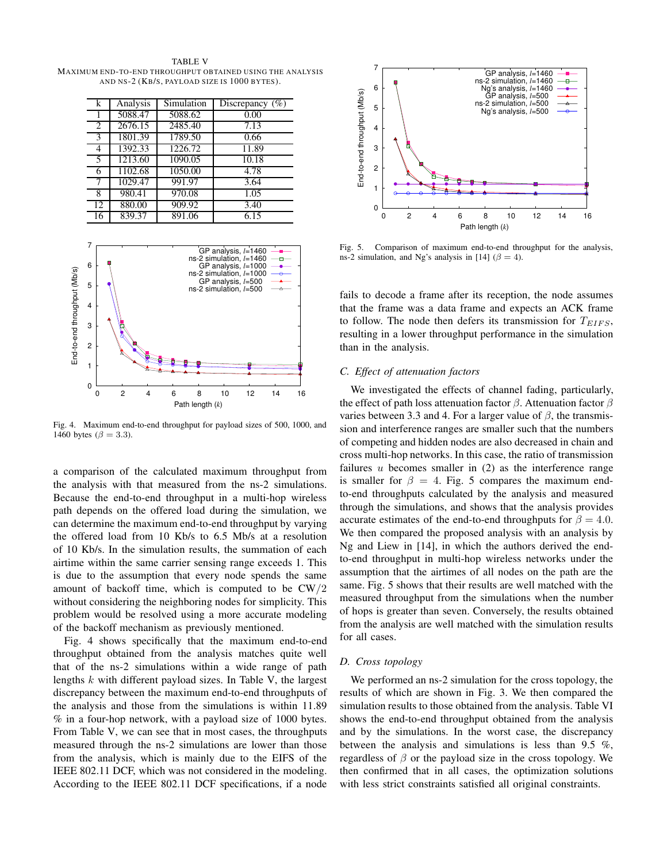TABLE V MAXIMUM END-TO-END THROUGHPUT OBTAINED US ING THE ANALYS IS AND NS-2 (KB/S, PAYLOAD SIZE IS 1000 BYTES).

| k  | Analysis | Simulation | Discrepancy $(\%)$ |
|----|----------|------------|--------------------|
|    | 5088.47  | 5088.62    | 0.00               |
| 2  | 2676.15  | 2485.40    | 7.13               |
| 3  | 1801.39  | 1789.50    | 0.66               |
| 4  | 1392.33  | 1226.72    | 11.89              |
| 5  | 1213.60  | 1090.05    | 10.18              |
| 6  | 1102.68  | 1050.00    | 4.78               |
| 7  | 1029.47  | 991.97     | 3.64               |
| 8  | 980.41   | 970.08     | 1.05               |
| 12 | 880.00   | 909.92     | 3.40               |
| 16 | 839.37   | 891.06     | 6.15               |



Fig. 4. Maximum end-to-end throughput for payload sizes of 500, 1000, and 1460 bytes ( $\beta = 3.3$ ).

a comparison of the calculated maximum throughput from the analysis with that measured from the ns-2 simulations. Because the end-to-end throughput in a multi-hop wireless path depends on the offered load during the simulation, we can determine the maximum end-to-end throughput by varying the offered load from 10 Kb/s to 6.5 Mb/s at a resolution of 10 Kb/s. In the simulation results, the summation of each airtime within the same carrier sensing range exceeds 1. This is due to the assumption that every node spends the same amount of backoff time, which is computed to be CW/2 without considering the neighboring nodes for simplicity. This problem would be resolved using a more accurate modeling of the backoff mechanism as previously mentioned.

Fig. 4 shows specifically that the maximum end-to-end throughput obtained from the analysis matches quite well that of the ns-2 simulations within a wide range of path lengths  $k$  with different payload sizes. In Table V, the largest discrepancy between the maximum end-to-end throughputs of the analysis and those from the simulations is within 11.89 % in a four-hop network, with a payload size of 1000 bytes. From Table V, we can see that in most cases, the throughputs measured through the ns-2 simulations are lower than those from the analysis, which is mainly due to the EIFS of the IEEE 802.11 DCF, which was not considered in the modeling. According to the IEEE 802.11 DCF specifications, if a node



Fig. 5. Comparison of maximum end-to-end throughput for the analysis, ns-2 simulation, and Ng's analysis in [14] ( $\beta = 4$ ).

fails to decode a frame after its reception, the node assumes that the frame was a data frame and expects an ACK frame to follow. The node then defers its transmission for  $T_{EIFS}$ , resulting in a lower throughput performance in the simulation than in the analysis.

#### *C. Effect of attenuation factors*

We investigated the effects of channel fading, particularly, the effect of path loss attenuation factor  $\beta$ . Attenuation factor  $\beta$ varies between 3.3 and 4. For a larger value of  $\beta$ , the transmission and interference ranges are smaller such that the numbers of competing and hidden nodes are also decreased in chain and cross multi-hop networks. In this case, the ratio of transmission failures  $u$  becomes smaller in  $(2)$  as the interference range is smaller for  $\beta = 4$ . Fig. 5 compares the maximum endto-end throughputs calculated by the analysis and measured through the simulations, and shows that the analysis provides accurate estimates of the end-to-end throughputs for  $\beta = 4.0$ . We then compared the proposed analysis with an analysis by Ng and Liew in [14], in which the authors derived the endto-end throughput in multi-hop wireless networks under the assumption that the airtimes of all nodes on the path are the same. Fig. 5 shows that their results are well matched with the measured throughput from the simulations when the number of hops is greater than seven. Conversely, the results obtained from the analysis are well matched with the simulation results for all cases.

#### *D. Cross topology*

We performed an ns-2 simulation for the cross topology, the results of which are shown in Fig. 3. We then compared the simulation results to those obtained from the analysis. Table VI shows the end-to-end throughput obtained from the analysis and by the simulations. In the worst case, the discrepancy between the analysis and simulations is less than 9.5 %, regardless of  $\beta$  or the payload size in the cross topology. We then confirmed that in all cases, the optimization solutions with less strict constraints satisfied all original constraints.